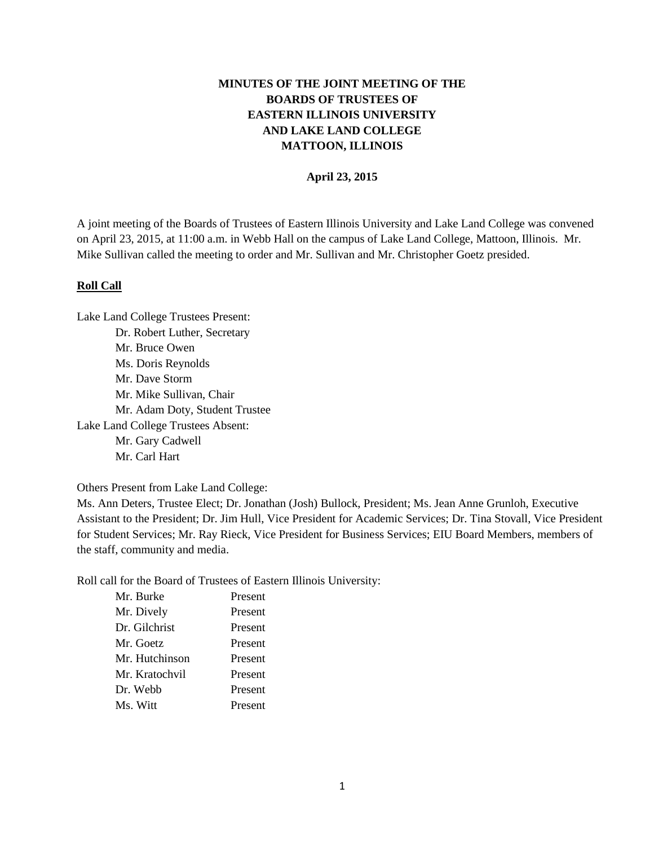# **MINUTES OF THE JOINT MEETING OF THE BOARDS OF TRUSTEES OF EASTERN ILLINOIS UNIVERSITY AND LAKE LAND COLLEGE MATTOON, ILLINOIS**

#### **April 23, 2015**

A joint meeting of the Boards of Trustees of Eastern Illinois University and Lake Land College was convened on April 23, 2015, at 11:00 a.m. in Webb Hall on the campus of Lake Land College, Mattoon, Illinois. Mr. Mike Sullivan called the meeting to order and Mr. Sullivan and Mr. Christopher Goetz presided.

#### **Roll Call**

Lake Land College Trustees Present: Dr. Robert Luther, Secretary Mr. Bruce Owen Ms. Doris Reynolds Mr. Dave Storm Mr. Mike Sullivan, Chair Mr. Adam Doty, Student Trustee Lake Land College Trustees Absent: Mr. Gary Cadwell Mr. Carl Hart

Others Present from Lake Land College:

Ms. Ann Deters, Trustee Elect; Dr. Jonathan (Josh) Bullock, President; Ms. Jean Anne Grunloh, Executive Assistant to the President; Dr. Jim Hull, Vice President for Academic Services; Dr. Tina Stovall, Vice President for Student Services; Mr. Ray Rieck, Vice President for Business Services; EIU Board Members, members of the staff, community and media.

Roll call for the Board of Trustees of Eastern Illinois University:

| Mr. Burke      | Present |
|----------------|---------|
| Mr. Dively     | Present |
| Dr. Gilchrist  | Present |
| Mr. Goetz      | Present |
| Mr. Hutchinson | Present |
| Mr. Kratochvil | Present |
| Dr. Webb       | Present |
| Ms. Witt       | Present |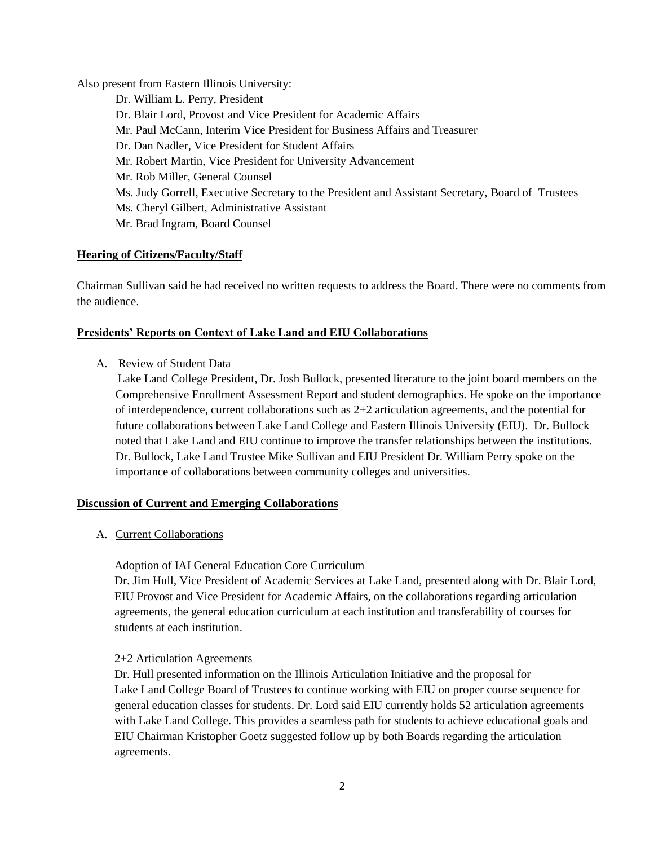Also present from Eastern Illinois University:

Dr. William L. Perry, President Dr. Blair Lord, Provost and Vice President for Academic Affairs Mr. Paul McCann, Interim Vice President for Business Affairs and Treasurer Dr. Dan Nadler, Vice President for Student Affairs Mr. Robert Martin, Vice President for University Advancement Mr. Rob Miller, General Counsel Ms. Judy Gorrell, Executive Secretary to the President and Assistant Secretary, Board of Trustees Ms. Cheryl Gilbert, Administrative Assistant Mr. Brad Ingram, Board Counsel

# **Hearing of Citizens/Faculty/Staff**

Chairman Sullivan said he had received no written requests to address the Board. There were no comments from the audience.

# **Presidents' Reports on Context of Lake Land and EIU Collaborations**

# A. Review of Student Data

Lake Land College President, Dr. Josh Bullock, presented literature to the joint board members on the Comprehensive Enrollment Assessment Report and student demographics. He spoke on the importance of interdependence, current collaborations such as  $2+2$  articulation agreements, and the potential for future collaborations between Lake Land College and Eastern Illinois University (EIU). Dr. Bullock noted that Lake Land and EIU continue to improve the transfer relationships between the institutions. Dr. Bullock, Lake Land Trustee Mike Sullivan and EIU President Dr. William Perry spoke on the importance of collaborations between community colleges and universities.

# **Discussion of Current and Emerging Collaborations**

A. Current Collaborations

# Adoption of IAI General Education Core Curriculum

Dr. Jim Hull, Vice President of Academic Services at Lake Land, presented along with Dr. Blair Lord, EIU Provost and Vice President for Academic Affairs, on the collaborations regarding articulation agreements, the general education curriculum at each institution and transferability of courses for students at each institution.

# 2+2 Articulation Agreements

Dr. Hull presented information on the Illinois Articulation Initiative and the proposal for Lake Land College Board of Trustees to continue working with EIU on proper course sequence for general education classes for students. Dr. Lord said EIU currently holds 52 articulation agreements with Lake Land College. This provides a seamless path for students to achieve educational goals and EIU Chairman Kristopher Goetz suggested follow up by both Boards regarding the articulation agreements.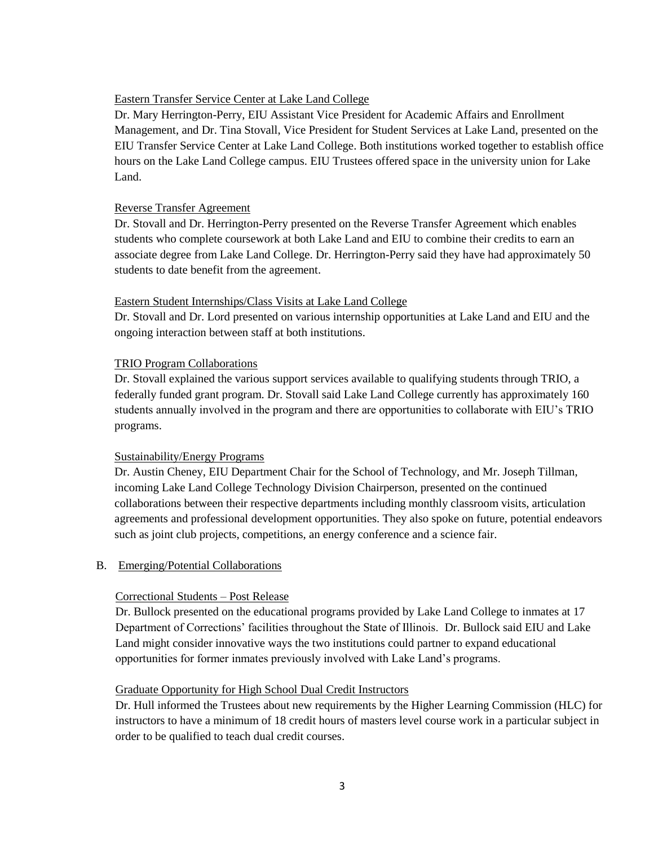### Eastern Transfer Service Center at Lake Land College

Dr. Mary Herrington-Perry, EIU Assistant Vice President for Academic Affairs and Enrollment Management, and Dr. Tina Stovall, Vice President for Student Services at Lake Land, presented on the EIU Transfer Service Center at Lake Land College. Both institutions worked together to establish office hours on the Lake Land College campus. EIU Trustees offered space in the university union for Lake Land.

#### Reverse Transfer Agreement

Dr. Stovall and Dr. Herrington-Perry presented on the Reverse Transfer Agreement which enables students who complete coursework at both Lake Land and EIU to combine their credits to earn an associate degree from Lake Land College. Dr. Herrington-Perry said they have had approximately 50 students to date benefit from the agreement.

### Eastern Student Internships/Class Visits at Lake Land College

Dr. Stovall and Dr. Lord presented on various internship opportunities at Lake Land and EIU and the ongoing interaction between staff at both institutions.

### TRIO Program Collaborations

Dr. Stovall explained the various support services available to qualifying students through TRIO, a federally funded grant program. Dr. Stovall said Lake Land College currently has approximately 160 students annually involved in the program and there are opportunities to collaborate with EIU's TRIO programs.

#### Sustainability/Energy Programs

Dr. Austin Cheney, EIU Department Chair for the School of Technology, and Mr. Joseph Tillman, incoming Lake Land College Technology Division Chairperson, presented on the continued collaborations between their respective departments including monthly classroom visits, articulation agreements and professional development opportunities. They also spoke on future, potential endeavors such as joint club projects, competitions, an energy conference and a science fair.

#### B. Emerging/Potential Collaborations

#### Correctional Students – Post Release

Dr. Bullock presented on the educational programs provided by Lake Land College to inmates at 17 Department of Corrections' facilities throughout the State of Illinois. Dr. Bullock said EIU and Lake Land might consider innovative ways the two institutions could partner to expand educational opportunities for former inmates previously involved with Lake Land's programs.

### Graduate Opportunity for High School Dual Credit Instructors

Dr. Hull informed the Trustees about new requirements by the Higher Learning Commission (HLC) for instructors to have a minimum of 18 credit hours of masters level course work in a particular subject in order to be qualified to teach dual credit courses.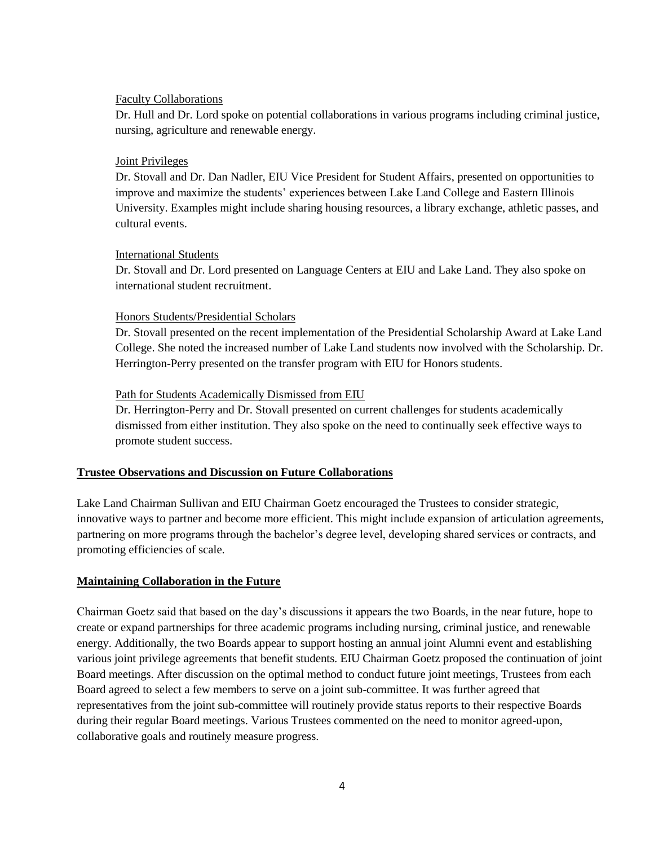### Faculty Collaborations

Dr. Hull and Dr. Lord spoke on potential collaborations in various programs including criminal justice, nursing, agriculture and renewable energy.

### Joint Privileges

Dr. Stovall and Dr. Dan Nadler, EIU Vice President for Student Affairs, presented on opportunities to improve and maximize the students' experiences between Lake Land College and Eastern Illinois University. Examples might include sharing housing resources, a library exchange, athletic passes, and cultural events.

### International Students

Dr. Stovall and Dr. Lord presented on Language Centers at EIU and Lake Land. They also spoke on international student recruitment.

### Honors Students/Presidential Scholars

Dr. Stovall presented on the recent implementation of the Presidential Scholarship Award at Lake Land College. She noted the increased number of Lake Land students now involved with the Scholarship. Dr. Herrington-Perry presented on the transfer program with EIU for Honors students.

### Path for Students Academically Dismissed from EIU

Dr. Herrington-Perry and Dr. Stovall presented on current challenges for students academically dismissed from either institution. They also spoke on the need to continually seek effective ways to promote student success.

### **Trustee Observations and Discussion on Future Collaborations**

Lake Land Chairman Sullivan and EIU Chairman Goetz encouraged the Trustees to consider strategic, innovative ways to partner and become more efficient. This might include expansion of articulation agreements, partnering on more programs through the bachelor's degree level, developing shared services or contracts, and promoting efficiencies of scale.

### **Maintaining Collaboration in the Future**

Chairman Goetz said that based on the day's discussions it appears the two Boards, in the near future, hope to create or expand partnerships for three academic programs including nursing, criminal justice, and renewable energy. Additionally, the two Boards appear to support hosting an annual joint Alumni event and establishing various joint privilege agreements that benefit students. EIU Chairman Goetz proposed the continuation of joint Board meetings. After discussion on the optimal method to conduct future joint meetings, Trustees from each Board agreed to select a few members to serve on a joint sub-committee. It was further agreed that representatives from the joint sub-committee will routinely provide status reports to their respective Boards during their regular Board meetings. Various Trustees commented on the need to monitor agreed-upon, collaborative goals and routinely measure progress.